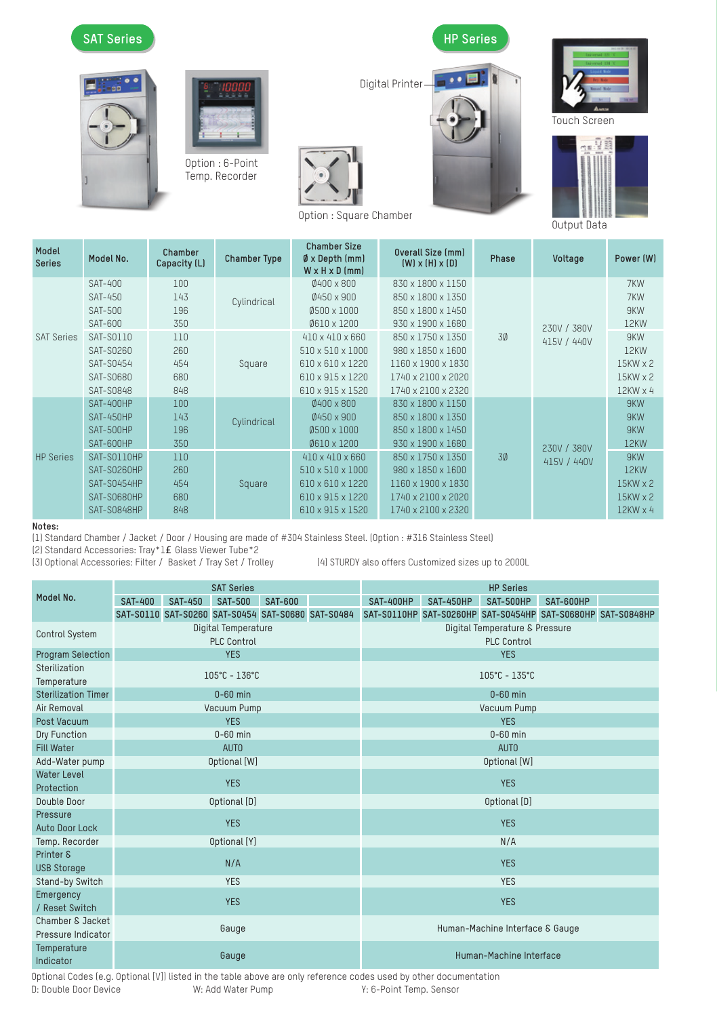

| Model<br><b>Series</b> | Model No.                 | Chamber<br>Capacity (L) | <b>Chamber Type</b> | <b>Chamber Size</b><br>$\emptyset$ x Depth (mm)<br>$W \times H \times D$ (mm) | Overall Size (mm)<br>$(W)$ x $(H)$ x $(D)$ | Phase | Voltage                    | Power (W)       |
|------------------------|---------------------------|-------------------------|---------------------|-------------------------------------------------------------------------------|--------------------------------------------|-------|----------------------------|-----------------|
| <b>SAT Series</b>      | <b>SAT-400</b><br>SAT-450 | 100<br>143              |                     | $0400 \times 800$<br>Ø450 x 900                                               | 830 x 1800 x 1150<br>850 x 1800 x 1350     |       | 230V / 380V<br>415V / 440V | 7KW<br>7KW      |
|                        | <b>SAT-500</b>            | 196                     | Cylindrical         | $0500 \times 1000$                                                            | 850 x 1800 x 1450                          |       |                            | 9KW             |
|                        | <b>SAT-600</b>            | 350                     |                     | 0610 x 1200                                                                   | 930 x 1900 x 1680                          |       |                            | 12KW            |
|                        | SAT-S0110                 | 110                     |                     | 410 x 410 x 660                                                               | 850 x 1750 x 1350                          | 30    |                            | 9KW             |
|                        | SAT-S0260                 | 260                     | Square              | 510 x 510 x 1000                                                              | 980 x 1850 x 1600                          |       |                            | 12KW            |
|                        | SAT-S0454                 | 454                     |                     | 610 x 610 x 1220                                                              | 1160 x 1900 x 1830                         |       |                            | $15KW \times 2$ |
|                        | SAT-S0680                 | 680                     |                     | 610 x 915 x 1220                                                              | 1740 x 2100 x 2020                         |       |                            | $15KW \times 2$ |
|                        | SAT-S0848                 | 848                     |                     | 610 x 915 x 1520                                                              | 1740 x 2100 x 2320                         |       |                            | $12KW \times 4$ |
| <b>HP Series</b>       | <b>SAT-400HP</b>          | 100                     |                     | 0400 x 800                                                                    | 830 x 1800 x 1150                          |       | 230V / 380V<br>415V / 440V | 9KW             |
|                        | SAT-450HP                 | 143                     | Cylindrical         | 0450 x 900                                                                    | 850 x 1800 x 1350                          |       |                            | 9KW             |
|                        | SAT-500HP                 | 196                     |                     | $0500 \times 1000$                                                            | 850 x 1800 x 1450                          | 3Ø    |                            | 9KW             |
|                        | SAT-600HP                 | 350                     |                     | Ø610 x 1200                                                                   | 930 x 1900 x 1680                          |       |                            | 12KW            |
|                        | SAT-SO110HP               | 110                     |                     | 410 x 410 x 660                                                               | 850 x 1750 x 1350                          |       |                            | 9KW             |
|                        | SAT-S0260HP               | 260                     | Square              | 510 x 510 x 1000                                                              | 980 x 1850 x 1600                          |       |                            | 12KW            |
|                        | SAT-S0454HP               | 454                     |                     | $610 \times 610 \times 1220$                                                  | 1160 x 1900 x 1830                         |       |                            | $15KW \times 2$ |
|                        | SAT-S0680HP               | 680                     |                     | 610 x 915 x 1220                                                              | 1740 x 2100 x 2020                         |       |                            | $15KW \times 2$ |
|                        | <b>SAT-S0848HP</b>        | 848                     |                     | 610 x 915 x 1520                                                              | 1740 x 2100 x 2320                         |       |                            | $12KW \times 4$ |

**Notes:**

(1) Standard Chamber / Jacket / Door / Housing are made of #304 Stainless Steel. (Option : #316 Stainless Steel)

(2) Standard Accessories: Tray\*1 Glass Viewer Tube\*2

(3) Optional Accessories: Filter / Basket / Tray Set / Trolley (4) STURDY also offers Customized sizes up to 2000L

|                            | <b>SAT Series</b>   |                |                                   |                |                                                   | <b>HP Series</b>                   |                  |                  |                                                             |  |  |
|----------------------------|---------------------|----------------|-----------------------------------|----------------|---------------------------------------------------|------------------------------------|------------------|------------------|-------------------------------------------------------------|--|--|
| Model No.                  | <b>SAT-400</b>      | <b>SAT-450</b> | <b>SAT-500</b>                    | <b>SAT-600</b> |                                                   | <b>SAT-400HP</b>                   | <b>SAT-450HP</b> | <b>SAT-500HP</b> | SAT-600HP                                                   |  |  |
|                            |                     |                |                                   |                | SAT-S0110 SAT-S0260 SAT-S0454 SAT-S0680 SAT-S0484 |                                    |                  |                  | SAT-S0110HP SAT-S0260HP SAT-S0454HP SAT-S0680HP SAT-S0848HP |  |  |
| Control System             | Digital Temperature |                |                                   |                |                                                   | Digital Temperature & Pressure     |                  |                  |                                                             |  |  |
|                            |                     |                | <b>PLC Control</b>                |                |                                                   | <b>PLC Control</b>                 |                  |                  |                                                             |  |  |
| Program Selection          |                     |                | <b>YES</b>                        |                |                                                   | <b>YES</b>                         |                  |                  |                                                             |  |  |
| Sterilization              |                     |                | $105^{\circ}$ C - $136^{\circ}$ C |                |                                                   | $105^{\circ}$ C - 135 $^{\circ}$ C |                  |                  |                                                             |  |  |
| Temperature                |                     |                |                                   |                |                                                   |                                    |                  |                  |                                                             |  |  |
| <b>Sterilization Timer</b> |                     |                | $0-60$ min                        |                |                                                   | $0-60$ min                         |                  |                  |                                                             |  |  |
| Air Removal                | Vacuum Pump         |                |                                   |                |                                                   | Vacuum Pump                        |                  |                  |                                                             |  |  |
| Post Vacuum                |                     |                | <b>YES</b>                        |                |                                                   | <b>YES</b>                         |                  |                  |                                                             |  |  |
| Dry Function               |                     |                | $0-60$ min                        |                |                                                   | $0-60$ min                         |                  |                  |                                                             |  |  |
| <b>Fill Water</b>          |                     |                | AUTO                              |                |                                                   | AUTO                               |                  |                  |                                                             |  |  |
| Add-Water pump             |                     |                | Optional [W]                      |                |                                                   | Optional [W]                       |                  |                  |                                                             |  |  |
| <b>Water Level</b>         |                     |                | <b>YES</b>                        |                |                                                   | <b>YES</b>                         |                  |                  |                                                             |  |  |
| Protection                 |                     |                |                                   |                |                                                   |                                    |                  |                  |                                                             |  |  |
| Double Door                |                     |                | Optional [D]                      |                |                                                   | Optional [D]                       |                  |                  |                                                             |  |  |
| Pressure                   |                     |                | <b>YES</b>                        |                |                                                   | <b>YES</b>                         |                  |                  |                                                             |  |  |
| <b>Auto Door Lock</b>      |                     |                |                                   |                |                                                   |                                    |                  |                  |                                                             |  |  |
| Temp. Recorder             |                     |                | Optional [Y]                      |                |                                                   | N/A                                |                  |                  |                                                             |  |  |
| Printer &                  |                     |                | N/A                               |                |                                                   | <b>YES</b>                         |                  |                  |                                                             |  |  |
| <b>USB Storage</b>         |                     |                |                                   |                |                                                   |                                    |                  |                  |                                                             |  |  |
| Stand-by Switch            | <b>YES</b>          |                |                                   |                |                                                   | <b>YES</b>                         |                  |                  |                                                             |  |  |
| Emergency                  |                     |                | <b>YES</b>                        |                |                                                   | <b>YES</b>                         |                  |                  |                                                             |  |  |
| / Reset Switch             |                     |                |                                   |                |                                                   |                                    |                  |                  |                                                             |  |  |
| Chamber & Jacket           |                     |                | Gauge                             |                |                                                   | Human-Machine Interface & Gauge    |                  |                  |                                                             |  |  |
| Pressure Indicator         |                     |                |                                   |                |                                                   |                                    |                  |                  |                                                             |  |  |
| Temperature                | Gauge               |                | Human-Machine Interface           |                |                                                   |                                    |                  |                  |                                                             |  |  |
| Indicator                  |                     |                |                                   |                |                                                   |                                    |                  |                  |                                                             |  |  |

Optional Codes (e.g. Optional [V]) listed in the table above are only reference codes used by other documentation D: Double Door Device W: Add Water Pump Y: 6-Point Temp. Sensor